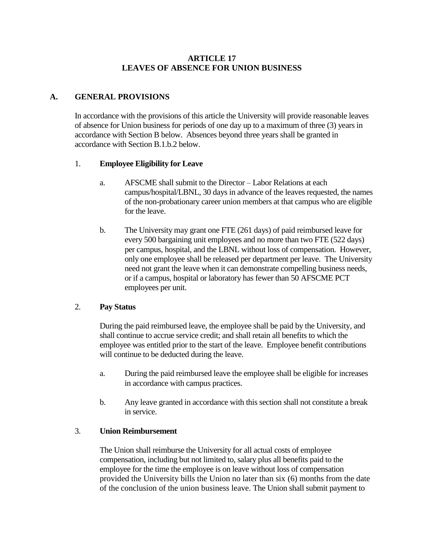# **ARTICLE 17 LEAVES OF ABSENCE FOR UNION BUSINESS**

## **A. GENERAL PROVISIONS**

In accordance with the provisions of this article the University will provide reasonable leaves of absence for Union business for periods of one day up to a maximum of three (3) years in accordance with Section B below. Absences beyond three years shall be granted in accordance with Section B.1.b.2 below.

#### 1. **Employee Eligibility for Leave**

- a. AFSCME shall submit to the Director Labor Relations at each campus/hospital/LBNL, 30 days in advance of the leaves requested, the names of the non-probationary career union members at that campus who are eligible for the leave.
- b. The University may grant one FTE (261 days) of paid reimbursed leave for every 500 bargaining unit employees and no more than two FTE (522 days) per campus, hospital, and the LBNL without loss of compensation. However, only one employee shall be released per department per leave. The University need not grant the leave when it can demonstrate compelling business needs, or if a campus, hospital or laboratory has fewer than 50 AFSCME PCT employees per unit.

### 2. **Pay Status**

During the paid reimbursed leave, the employee shall be paid by the University, and shall continue to accrue service credit; and shall retain all benefits to which the employee was entitled prior to the start of the leave. Employee benefit contributions will continue to be deducted during the leave.

- a. During the paid reimbursed leave the employee shall be eligible for increases in accordance with campus practices.
- b. Any leave granted in accordance with this section shall not constitute a break in service.

### 3. **Union Reimbursement**

The Union shall reimburse the University for all actual costs of employee compensation, including but not limited to, salary plus all benefits paid to the employee for the time the employee is on leave without loss of compensation provided the University bills the Union no later than six (6) months from the date of the conclusion of the union business leave. The Union shall submit payment to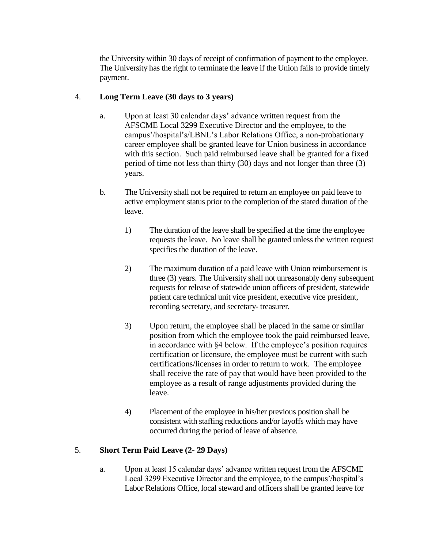the University within 30 days of receipt of confirmation of payment to the employee. The University has the right to terminate the leave if the Union fails to provide timely payment.

## 4. **Long Term Leave (30 days to 3 years)**

- a. Upon at least 30 calendar days' advance written request from the AFSCME Local 3299 Executive Director and the employee, to the campus'/hospital's/LBNL's Labor Relations Office, a non-probationary career employee shall be granted leave for Union business in accordance with this section. Such paid reimbursed leave shall be granted for a fixed period of time not less than thirty (30) days and not longer than three (3) years.
- b. The University shall not be required to return an employee on paid leave to active employment status prior to the completion of the stated duration of the leave.
	- 1) The duration of the leave shall be specified at the time the employee requests the leave. No leave shall be granted unless the written request specifies the duration of the leave.
	- 2) The maximum duration of a paid leave with Union reimbursement is three (3) years. The University shall not unreasonably deny subsequent requests for release of statewide union officers of president, statewide patient care technical unit vice president, executive vice president, recording secretary, and secretary- treasurer.
	- 3) Upon return, the employee shall be placed in the same or similar position from which the employee took the paid reimbursed leave, in accordance with §4 below. If the employee's position requires certification or licensure, the employee must be current with such certifications/licenses in order to return to work. The employee shall receive the rate of pay that would have been provided to the employee as a result of range adjustments provided during the leave.
	- 4) Placement of the employee in his/her previous position shall be consistent with staffing reductions and/or layoffs which may have occurred during the period of leave of absence.

# 5. **Short Term Paid Leave (2- 29 Days)**

a. Upon at least 15 calendar days' advance written request from the AFSCME Local 3299 Executive Director and the employee, to the campus'/hospital's Labor Relations Office, local steward and officers shall be granted leave for